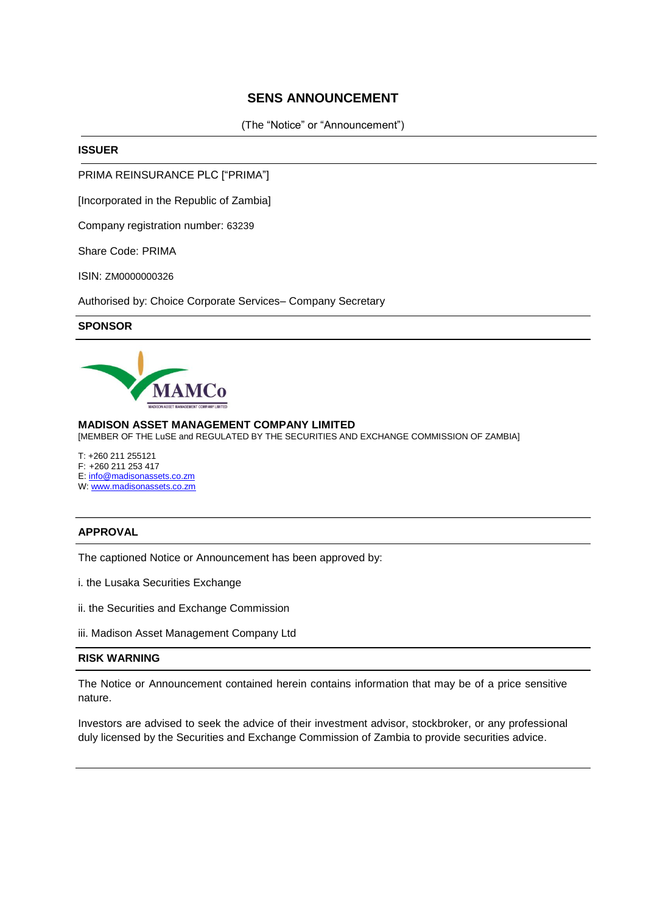## **SENS ANNOUNCEMENT**

(The "Notice" or "Announcement")

#### **ISSUER**

PRIMA REINSURANCE PLC ["PRIMA"]

[Incorporated in the Republic of Zambia]

Company registration number: 63239

Share Code: PRIMA

ISIN: ZM0000000326

Authorised by: Choice Corporate Services– Company Secretary

### **SPONSOR**



#### **MADISON ASSET MANAGEMENT COMPANY LIMITED**

[MEMBER OF THE LuSE and REGULATED BY THE SECURITIES AND EXCHANGE COMMISSION OF ZAMBIA]

T: +260 211 255121 F: +260 211 253 417 E: [info@madisonassets.co.zm](mailto:info@madisonassets.co.zm)

#### W: [www.madisonassets.co.zm](http://www.madisonassets.co.zm/)

## **APPROVAL**

The captioned Notice or Announcement has been approved by:

- i. the Lusaka Securities Exchange
- ii. the Securities and Exchange Commission
- iii. Madison Asset Management Company Ltd

### **RISK WARNING**

The Notice or Announcement contained herein contains information that may be of a price sensitive nature.

Investors are advised to seek the advice of their investment advisor, stockbroker, or any professional duly licensed by the Securities and Exchange Commission of Zambia to provide securities advice.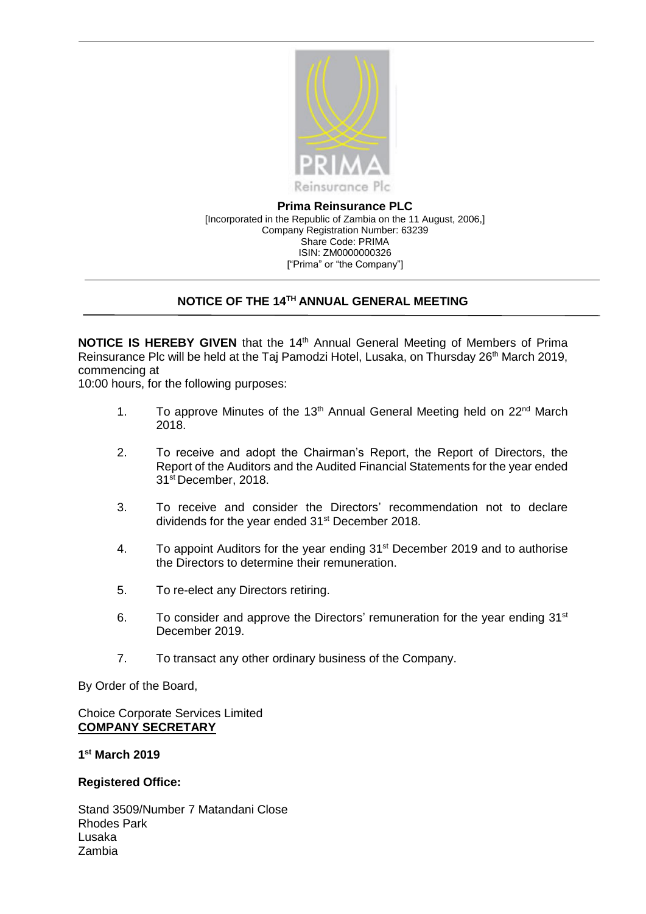

**Prima Reinsurance PLC** [Incorporated in the Republic of Zambia on the 11 August, 2006,] Company Registration Number: 63239 Share Code: PRIMA ISIN: ZM0000000326 ["Prima" or "the Company"]

# **NOTICE OF THE 14TH ANNUAL GENERAL MEETING**

**NOTICE IS HEREBY GIVEN** that the 14<sup>th</sup> Annual General Meeting of Members of Prima Reinsurance Plc will be held at the Taj Pamodzi Hotel, Lusaka, on Thursday 26<sup>th</sup> March 2019, commencing at

10:00 hours, for the following purposes:

- 1. To approve Minutes of the 13<sup>th</sup> Annual General Meeting held on 22<sup>nd</sup> March 2018.
- 2. To receive and adopt the Chairman's Report, the Report of Directors, the Report of the Auditors and the Audited Financial Statements for the year ended 31<sup>st</sup> December, 2018.
- 3. To receive and consider the Directors' recommendation not to declare dividends for the year ended 31<sup>st</sup> December 2018.
- 4. To appoint Auditors for the year ending 31<sup>st</sup> December 2019 and to authorise the Directors to determine their remuneration.
- 5. To re-elect any Directors retiring.
- 6. To consider and approve the Directors' remuneration for the year ending  $31<sup>st</sup>$ December 2019.
- 7. To transact any other ordinary business of the Company.

By Order of the Board,

Choice Corporate Services Limited **COMPANY SECRETARY**

**1 st March 2019**

**Registered Office:**

Stand 3509/Number 7 Matandani Close Rhodes Park Lusaka Zambia